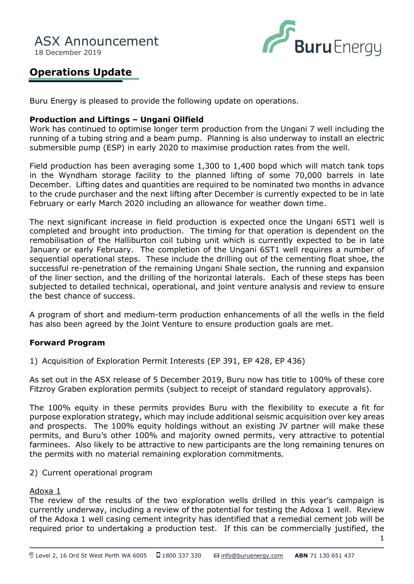

# **Operations Update**

Buru Energy is pleased to provide the following update on operations.

## **Production and Liftings – Ungani Oilfield**

Work has continued to optimise longer term production from the Ungani 7 well including the running of a tubing string and a beam pump. Planning is also underway to install an electric submersible pump (ESP) in early 2020 to maximise production rates from the well.

Field production has been averaging some 1,300 to 1,400 bopd which will match tank tops in the Wyndham storage facility to the planned lifting of some 70,000 barrels in late December. Lifting dates and quantities are required to be nominated two months in advance to the crude purchaser and the next lifting after December is currently expected to be in late February or early March 2020 including an allowance for weather down time.

The next significant increase in field production is expected once the Ungani 6ST1 well is completed and brought into production. The timing for that operation is dependent on the remobilisation of the Halliburton coil tubing unit which is currently expected to be in late January or early February. The completion of the Ungani 6ST1 well requires a number of sequential operational steps. These include the drilling out of the cementing float shoe, the successful re-penetration of the remaining Ungani Shale section, the running and expansion of the liner section, and the drilling of the horizontal laterals. Each of these steps has been subjected to detailed technical, operational, and joint venture analysis and review to ensure the best chance of success.

A program of short and medium-term production enhancements of all the wells in the field has also been agreed by the Joint Venture to ensure production goals are met.

# **Forward Program**

1) Acquisition of Exploration Permit Interests (EP 391, EP 428, EP 436)

As set out in the ASX release of 5 December 2019, Buru now has title to 100% of these core Fitzroy Graben exploration permits (subject to receipt of standard regulatory approvals).

The 100% equity in these permits provides Buru with the flexibility to execute a fit for purpose exploration strategy, which may include additional seismic acquisition over key areas and prospects. The 100% equity holdings without an existing JV partner will make these permits, and Buru's other 100% and majority owned permits, very attractive to potential farminees. Also likely to be attractive to new participants are the long remaining tenures on the permits with no material remaining exploration commitments.

#### 2) Current operational program

#### Adoxa 1

The review of the results of the two exploration wells drilled in this year's campaign is currently underway, including a review of the potential for testing the Adoxa 1 well. Review of the Adoxa 1 well casing cement integrity has identified that a remedial cement job will be required prior to undertaking a production test. If this can be commercially justified, the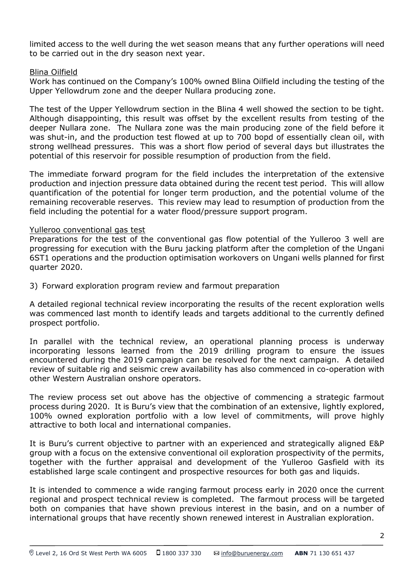limited access to the well during the wet season means that any further operations will need to be carried out in the dry season next year.

## Blina Oilfield

Work has continued on the Company's 100% owned Blina Oilfield including the testing of the Upper Yellowdrum zone and the deeper Nullara producing zone.

The test of the Upper Yellowdrum section in the Blina 4 well showed the section to be tight. Although disappointing, this result was offset by the excellent results from testing of the deeper Nullara zone. The Nullara zone was the main producing zone of the field before it was shut-in, and the production test flowed at up to 700 bopd of essentially clean oil, with strong wellhead pressures. This was a short flow period of several days but illustrates the potential of this reservoir for possible resumption of production from the field.

The immediate forward program for the field includes the interpretation of the extensive production and injection pressure data obtained during the recent test period. This will allow quantification of the potential for longer term production, and the potential volume of the remaining recoverable reserves. This review may lead to resumption of production from the field including the potential for a water flood/pressure support program.

# Yulleroo conventional gas test

Preparations for the test of the conventional gas flow potential of the Yulleroo 3 well are progressing for execution with the Buru jacking platform after the completion of the Ungani 6ST1 operations and the production optimisation workovers on Ungani wells planned for first quarter 2020.

3) Forward exploration program review and farmout preparation

A detailed regional technical review incorporating the results of the recent exploration wells was commenced last month to identify leads and targets additional to the currently defined prospect portfolio.

In parallel with the technical review, an operational planning process is underway incorporating lessons learned from the 2019 drilling program to ensure the issues encountered during the 2019 campaign can be resolved for the next campaign. A detailed review of suitable rig and seismic crew availability has also commenced in co-operation with other Western Australian onshore operators.

The review process set out above has the objective of commencing a strategic farmout process during 2020. It is Buru's view that the combination of an extensive, lightly explored, 100% owned exploration portfolio with a low level of commitments, will prove highly attractive to both local and international companies.

It is Buru's current objective to partner with an experienced and strategically aligned E&P group with a focus on the extensive conventional oil exploration prospectivity of the permits, together with the further appraisal and development of the Yulleroo Gasfield with its established large scale contingent and prospective resources for both gas and liquids.

It is intended to commence a wide ranging farmout process early in 2020 once the current regional and prospect technical review is completed. The farmout process will be targeted both on companies that have shown previous interest in the basin, and on a number of international groups that have recently shown renewed interest in Australian exploration.